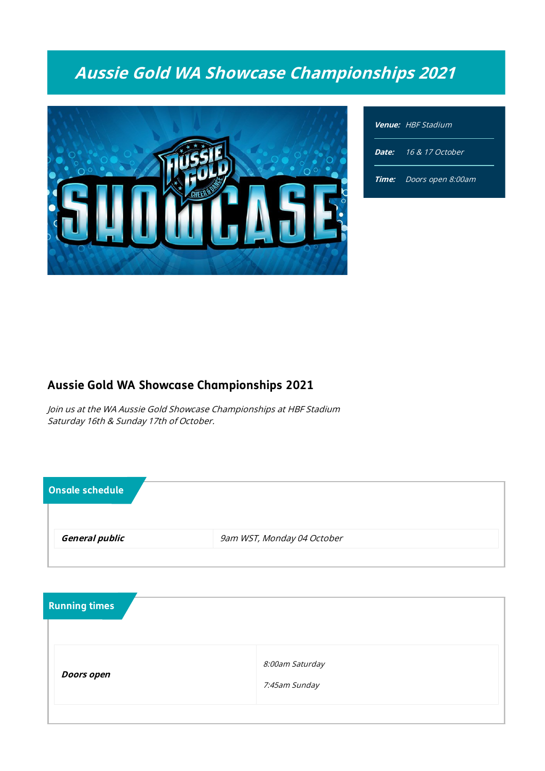# Aussie Gold WA Showcase Championships 2021



| <b>Venue:</b> HBF Stadium      |  |  |
|--------------------------------|--|--|
| Date: 16 & 17 October          |  |  |
| <b>Time:</b> Doors open 8:00am |  |  |

## Aussie Gold WA Showcase Championships 2021

Join us at the WA Aussie Gold Showcase Championships at HBF Stadium Saturday 16th & Sunday 17th of October.

| <b>General public</b><br>9am WST, Monday 04 October | Onsale schedule |  |
|-----------------------------------------------------|-----------------|--|
|                                                     |                 |  |

| 8:00am Saturday<br><b>Doors open</b><br>7:45am Sunday | <b>Running times</b> |  |
|-------------------------------------------------------|----------------------|--|
|                                                       |                      |  |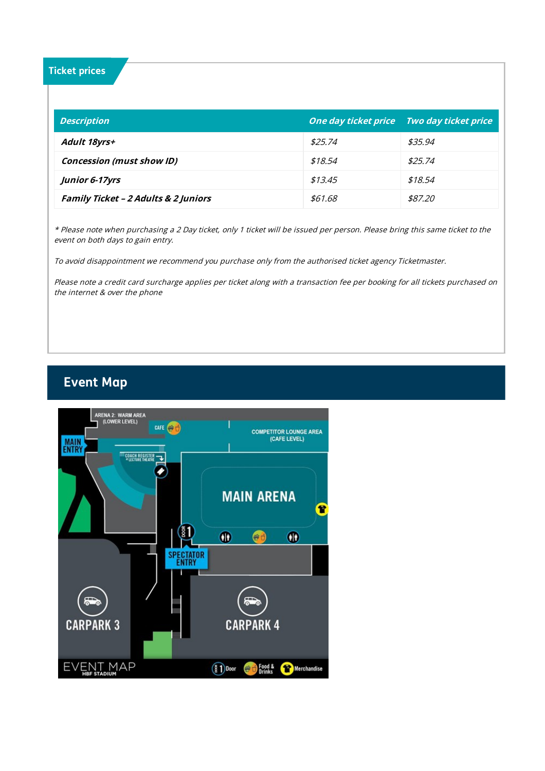#### Ticket prices

| <b>Description</b>                              |         | One day ticket price Two day ticket price |
|-------------------------------------------------|---------|-------------------------------------------|
| Adult 18yrs+                                    | \$25.74 | \$35.94                                   |
| <b>Concession (must show ID)</b>                | \$18.54 | \$25.74                                   |
| Junior 6-17yrs                                  | \$13.45 | \$18.54                                   |
| <b>Family Ticket - 2 Adults &amp; 2 Juniors</b> | \$61.68 | \$87.20                                   |

\* Please note when purchasing <sup>a</sup> 2 Day ticket, only 1 ticket will be issued per person. Please bring this same ticket to the event on both days to gain entry.

To avoid disappointment we recommend you purchase only from the authorised ticket agency Ticketmaster.

Please note <sup>a</sup> credit card surcharge applies per ticket along with <sup>a</sup> transaction fee per booking for all tickets purchased on the internet & over the phone

## Event Map

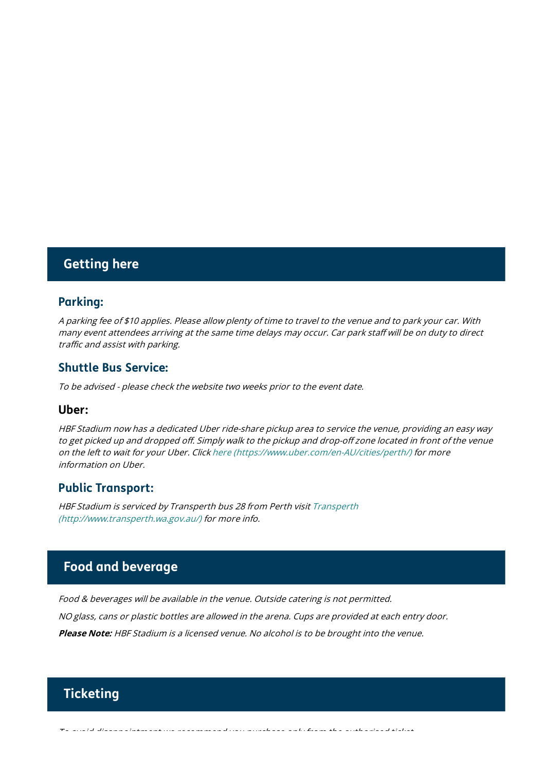## Getting here

#### Parking:

A parking fee of \$10 applies. Please allow plenty of time to travel to the venue and to park your car. With many event attendees arriving at the same time delays may occur. Car park staff will be on duty to direct traffic and assist with parking.

#### Shuttle Bus Service:

To be advised - please check the website two weeks prior to the event date.

#### Uber:

HBF Stadium now has <sup>a</sup> dedicated Uber ride-share pickup area to service the venue, providing an easy way to get picked up and dropped off. Simply walk to the pickup and drop-off zone located in front of the venue on the left to wait for your Uber. Click here (https://www.uber.com/en-AU/cities/perth/) for more information on Uber.

#### Public Transport:

HBF Stadium is serviced by Transperth bus 28 from Perth visit Transperth (http://www.transperth.wa.gov.au/) for more info.

## Food and beverage

Food & beverages will be available in the venue. Outside catering is not permitted. NO glass, cans or plastic bottles are allowed in the arena. Cups are provided at each entry door. Please Note: HBF Stadium is a licensed venue. No alcohol is to be brought into the venue.

## **Ticketing**

To avoid disappointment we recommend you purchase only from the authorised ticket